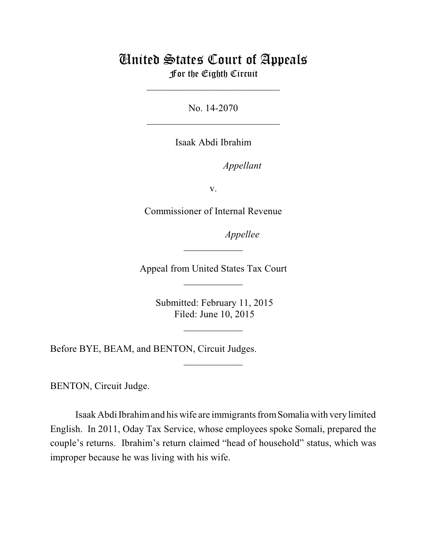## United States Court of Appeals For the Eighth Circuit

\_\_\_\_\_\_\_\_\_\_\_\_\_\_\_\_\_\_\_\_\_\_\_\_\_\_\_

No. 14-2070  $\mathcal{L}_\text{max}$  , which is a set of the set of the set of the set of the set of the set of the set of the set of the set of the set of the set of the set of the set of the set of the set of the set of the set of the set of

Isaak Abdi Ibrahim

*Appellant* 

v.

Commissioner of Internal Revenue

*Appellee* 

Appeal from United States Tax Court  $\frac{1}{2}$ 

 $\frac{1}{2}$ 

 Submitted: February 11, 2015 Filed: June 10, 2015

 $\frac{1}{2}$ 

 $\overline{\phantom{a}}$  , where  $\overline{\phantom{a}}$ 

Before BYE, BEAM, and BENTON, Circuit Judges.

BENTON, Circuit Judge.

Isaak Abdi Ibrahimand his wife are immigrantsfromSomalia with very limited English. In 2011, Oday Tax Service, whose employees spoke Somali, prepared the couple's returns. Ibrahim's return claimed "head of household" status, which was improper because he was living with his wife.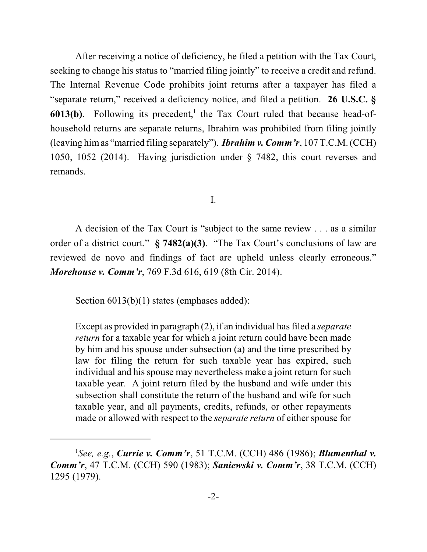After receiving a notice of deficiency, he filed a petition with the Tax Court, seeking to change his status to "married filing jointly" to receive a credit and refund. The Internal Revenue Code prohibits joint returns after a taxpayer has filed a "separate return," received a deficiency notice, and filed a petition. **26 U.S.C. §**  $6013(b)$ . Following its precedent,<sup>1</sup> the Tax Court ruled that because head-ofhousehold returns are separate returns, Ibrahim was prohibited from filing jointly (leaving himas "married filing separately"). *Ibrahim v. Comm'r*, 107 T.C.M. (CCH) 1050, 1052 (2014). Having jurisdiction under § 7482, this court reverses and remands.

I.

A decision of the Tax Court is "subject to the same review . . . as a similar order of a district court." **§ 7482(a)(3)**. "The Tax Court's conclusions of law are reviewed de novo and findings of fact are upheld unless clearly erroneous." *Morehouse v. Comm'r*, 769 F.3d 616, 619 (8th Cir. 2014).

Section  $6013(b)(1)$  states (emphases added):

Except as provided in paragraph (2), if an individual has filed a *separate return* for a taxable year for which a joint return could have been made by him and his spouse under subsection (a) and the time prescribed by law for filing the return for such taxable year has expired, such individual and his spouse may nevertheless make a joint return for such taxable year. A joint return filed by the husband and wife under this subsection shall constitute the return of the husband and wife for such taxable year, and all payments, credits, refunds, or other repayments made or allowed with respect to the *separate return* of either spouse for

*See, e.g.*, *Currie v. Comm'r*, 51 T.C.M. (CCH) 486 (1986); *Blumenthal v.* <sup>1</sup> *Comm'r*, 47 T.C.M. (CCH) 590 (1983); *Saniewski v. Comm'r*, 38 T.C.M. (CCH) 1295 (1979).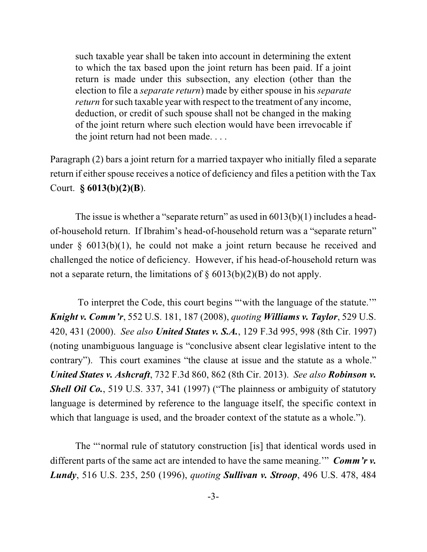such taxable year shall be taken into account in determining the extent to which the tax based upon the joint return has been paid. If a joint return is made under this subsection, any election (other than the election to file a *separate return*) made by either spouse in his *separate return* for such taxable year with respect to the treatment of any income, deduction, or credit of such spouse shall not be changed in the making of the joint return where such election would have been irrevocable if the joint return had not been made. . . .

Paragraph (2) bars a joint return for a married taxpayer who initially filed a separate return if either spouse receives a notice of deficiency and files a petition with the Tax Court. **§ 6013(b)(2)(B**).

The issue is whether a "separate return" as used in  $6013(b)(1)$  includes a headof-household return. If Ibrahim's head-of-household return was a "separate return" under  $\S$  6013(b)(1), he could not make a joint return because he received and challenged the notice of deficiency. However, if his head-of-household return was not a separate return, the limitations of  $\S 6013(b)(2)(B)$  do not apply.

To interpret the Code, this court begins "'with the language of the statute.'" *Knight v. Comm'r*, 552 U.S. 181, 187 (2008), *quoting Williams v. Taylor*, 529 U.S. 420, 431 (2000). *See also United States v. S.A.*, 129 F.3d 995, 998 (8th Cir. 1997) (noting unambiguous language is "conclusive absent clear legislative intent to the contrary"). This court examines "the clause at issue and the statute as a whole." *United States v. Ashcraft*, 732 F.3d 860, 862 (8th Cir. 2013). *See also Robinson v. Shell Oil Co.*, 519 U.S. 337, 341 (1997) ("The plainness or ambiguity of statutory language is determined by reference to the language itself, the specific context in which that language is used, and the broader context of the statute as a whole.").

The "'normal rule of statutory construction [is] that identical words used in different parts of the same act are intended to have the same meaning.'" *Comm'r v. Lundy*, 516 U.S. 235, 250 (1996), *quoting Sullivan v. Stroop*, 496 U.S. 478, 484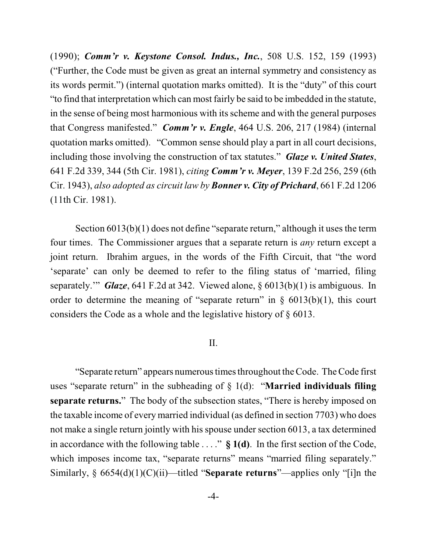(1990); *Comm'r v. Keystone Consol. Indus., Inc.*, 508 U.S. 152, 159 (1993) ("Further, the Code must be given as great an internal symmetry and consistency as its words permit.") (internal quotation marks omitted). It is the "duty" of this court "to find that interpretation which can most fairly be said to be imbedded in the statute, in the sense of being most harmonious with its scheme and with the general purposes that Congress manifested." *Comm'r v. Engle*, 464 U.S. 206, 217 (1984) (internal quotation marks omitted). "Common sense should play a part in all court decisions, including those involving the construction of tax statutes." *Glaze v. United States*, 641 F.2d 339, 344 (5th Cir. 1981), *citing Comm'r v. Meyer*, 139 F.2d 256, 259 (6th Cir. 1943), *also adopted as circuit law by Bonner v. City of Prichard*, 661 F.2d 1206 (11th Cir. 1981).

Section  $6013(b)(1)$  does not define "separate return," although it uses the term four times. The Commissioner argues that a separate return is *any* return except a joint return. Ibrahim argues, in the words of the Fifth Circuit, that "the word 'separate' can only be deemed to refer to the filing status of 'married, filing separately.'" *Glaze*, 641 F.2d at 342. Viewed alone, § 6013(b)(1) is ambiguous. In order to determine the meaning of "separate return" in  $\S$  6013(b)(1), this court considers the Code as a whole and the legislative history of § 6013.

### II.

"Separate return" appears numerous times throughout the Code. The Code first uses "separate return" in the subheading of § 1(d): "**Married individuals filing separate returns.**" The body of the subsection states, "There is hereby imposed on the taxable income of every married individual (as defined in section 7703) who does not make a single return jointly with his spouse under section 6013, a tax determined in accordance with the following table . . . ." **§ 1(d)**. In the first section of the Code, which imposes income tax, "separate returns" means "married filing separately." Similarly, § 6654(d)(1)(C)(ii)—titled "**Separate returns**"—applies only "[i]n the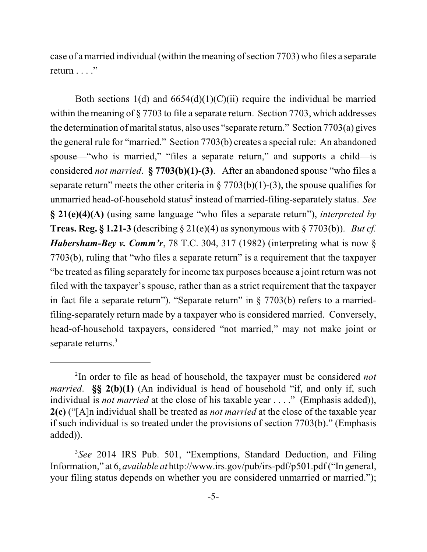case of a married individual (within the meaning of section 7703) who files a separate return  $\ldots$  ."

Both sections 1(d) and  $6654(d)(1)(C)(ii)$  require the individual be married within the meaning of § 7703 to file a separate return. Section 7703, which addresses the determination of marital status, also uses "separate return." Section 7703(a) gives the general rule for "married." Section 7703(b) creates a special rule: An abandoned spouse—"who is married," "files a separate return," and supports a child—is considered *not married*. **§ 7703(b)(1)-(3)**. After an abandoned spouse "who files a separate return" meets the other criteria in  $\S 7703(b)(1)-(3)$ , the spouse qualifies for unmarried head-of-household status<sup>2</sup> instead of married-filing-separately status. *See* **§ 21(e)(4)(A)** (using same language "who files a separate return"), *interpreted by* **Treas. Reg. § 1.21-3** (describing § 21(e)(4) as synonymous with § 7703(b)). *But cf. Habersham-Bey v. Comm'r*, 78 T.C. 304, 317 (1982) (interpreting what is now § 7703(b), ruling that "who files a separate return" is a requirement that the taxpayer "be treated asfiling separately for income tax purposes because a joint return was not filed with the taxpayer's spouse, rather than as a strict requirement that the taxpayer in fact file a separate return"). "Separate return" in  $\S 7703(b)$  refers to a marriedfiling-separately return made by a taxpayer who is considered married. Conversely, head-of-household taxpayers, considered "not married," may not make joint or separate returns.<sup>3</sup>

<sup>&</sup>lt;sup>2</sup>In order to file as head of household, the taxpayer must be considered *not married*. **§§ 2(b)(1)** (An individual is head of household "if, and only if, such individual is *not married* at the close of his taxable year . . . ." (Emphasis added)), **2(c)** ("[A]n individual shall be treated as *not married* at the close of the taxable year if such individual is so treated under the provisions of section 7703(b)." (Emphasis added)).

<sup>&</sup>lt;sup>3</sup>See 2014 IRS Pub. 501, "Exemptions, Standard Deduction, and Filing Information," at 6, *available at* http://www.irs.gov/pub/irs-pdf/p501.pdf("In general, your filing status depends on whether you are considered unmarried or married.");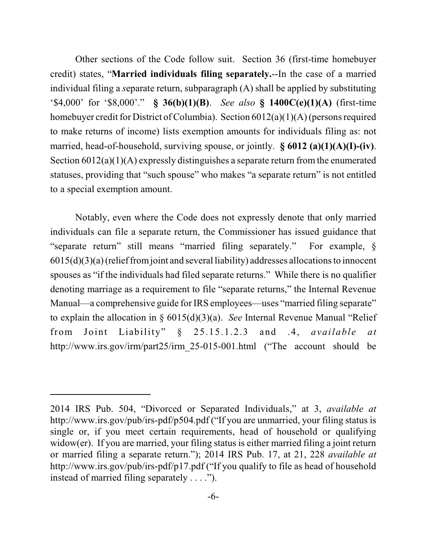Other sections of the Code follow suit. Section 36 (first-time homebuyer credit) states, "**Married individuals filing separately.**--In the case of a married individual filing a *s*eparate return, subparagraph (A) shall be applied by substituting '\$4,000' for '\$8,000'." **§ 36(b)(1)(B)**. *See also* **§ 1400C(e)(1)(A)** (first-time homebuyer credit for District of Columbia). Section  $6012(a)(1)(A)$  (persons required to make returns of income) lists exemption amounts for individuals filing as: not married, head-of-household, surviving spouse, or jointly. **§ 6012 (a)(1)(A)(I)-(iv)**. Section 6012(a)(1)(A) expressly distinguishes a separate return from the enumerated statuses, providing that "such spouse" who makes "a separate return" is not entitled to a special exemption amount.

Notably, even where the Code does not expressly denote that only married individuals can file a separate return, the Commissioner has issued guidance that "separate return" still means "married filing separately." For example, §  $6015(d)(3)(a)$  (relief from joint and several liability) addresses allocations to innocent spouses as "if the individuals had filed separate returns." While there is no qualifier denoting marriage as a requirement to file "separate returns," the Internal Revenue Manual—a comprehensive guide for IRS employees—uses "married filing separate" to explain the allocation in § 6015(d)(3)(a). *See* Internal Revenue Manual "Relief from Joint Liability" § 25.15.1.2.3 and .4, *available at* http://www.irs.gov/irm/part25/irm\_25-015-001.html ("The account should be

<sup>2014</sup> IRS Pub. 504, "Divorced or Separated Individuals," at 3, *available at* http://www.irs.gov/pub/irs-pdf/p504.pdf ("If you are unmarried, your filing status is single or, if you meet certain requirements, head of household or qualifying widow(er). If you are married, your filing status is either married filing a joint return or married filing a separate return."); 2014 IRS Pub. 17, at 21, 228 *available at* http://www.irs.gov/pub/irs-pdf/p17.pdf ("If you qualify to file as head of household instead of married filing separately . . . .").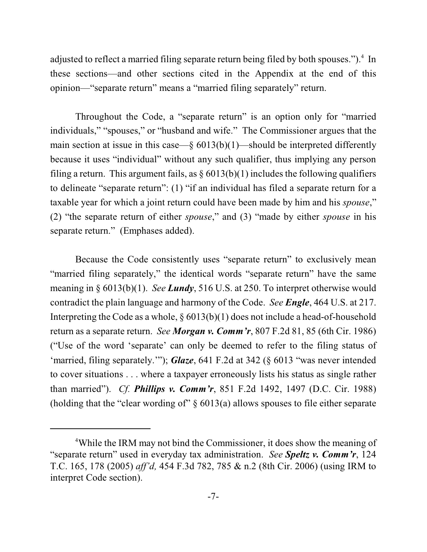adjusted to reflect a married filing separate return being filed by both spouses.").<sup>4</sup> In these sections—and other sections cited in the Appendix at the end of this opinion—"separate return" means a "married filing separately" return.

Throughout the Code, a "separate return" is an option only for "married individuals," "spouses," or "husband and wife." The Commissioner argues that the main section at issue in this case—§  $6013(b)(1)$ —should be interpreted differently because it uses "individual" without any such qualifier, thus implying any person filing a return. This argument fails, as  $\S 6013(b)(1)$  includes the following qualifiers to delineate "separate return": (1) "if an individual has filed a separate return for a taxable year for which a joint return could have been made by him and his *spouse*," (2) "the separate return of either *spouse*," and (3) "made by either *spouse* in his separate return." (Emphases added).

Because the Code consistently uses "separate return" to exclusively mean "married filing separately," the identical words "separate return" have the same meaning in § 6013(b)(1). *See Lundy*, 516 U.S. at 250. To interpret otherwise would contradict the plain language and harmony of the Code. *See Engle*, 464 U.S. at 217. Interpreting the Code as a whole, § 6013(b)(1) does not include a head-of-household return as a separate return. *See Morgan v. Comm'r*, 807 F.2d 81, 85 (6th Cir. 1986) ("Use of the word 'separate' can only be deemed to refer to the filing status of 'married, filing separately.'"); *Glaze*, 641 F.2d at 342 (§ 6013 "was never intended to cover situations . . . where a taxpayer erroneously lists his status as single rather than married"). *Cf. Phillips v. Comm'r*, 851 F.2d 1492, 1497 (D.C. Cir. 1988) (holding that the "clear wording of" § 6013(a) allows spouses to file either separate

<sup>&</sup>lt;sup>4</sup>While the IRM may not bind the Commissioner, it does show the meaning of "separate return" used in everyday tax administration. *See Speltz v. Comm'r*, 124 T.C. 165, 178 (2005) *aff'd,* 454 F.3d 782, 785 & n.2 (8th Cir. 2006) (using IRM to interpret Code section).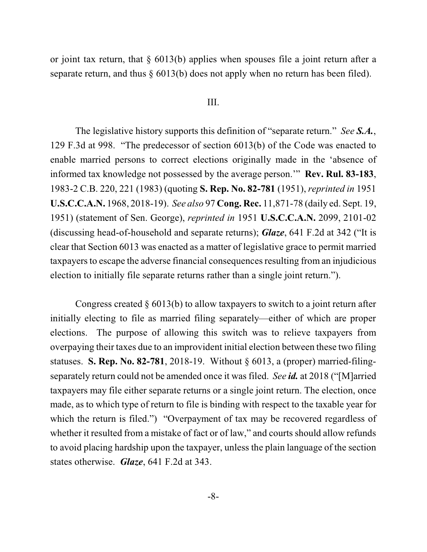or joint tax return, that § 6013(b) applies when spouses file a joint return after a separate return, and thus § 6013(b) does not apply when no return has been filed).

#### III.

The legislative history supports this definition of "separate return." *See S.A.*, 129 F.3d at 998. "The predecessor of section 6013(b) of the Code was enacted to enable married persons to correct elections originally made in the 'absence of informed tax knowledge not possessed by the average person.'" **Rev. Rul. 83-183**, 1983-2 C.B. 220, 221 (1983) (quoting **S. Rep. No. 82-781** (1951), *reprinted in* 1951 **U.S.C.C.A.N.** 1968, 2018-19). *See also* 97 **Cong. Rec.** 11,871-78 (daily ed. Sept. 19, 1951) (statement of Sen. George), *reprinted in* 1951 **U.S.C.C.A.N.** 2099, 2101-02 (discussing head-of-household and separate returns); *Glaze*, 641 F.2d at 342 ("It is clear that Section 6013 was enacted as a matter of legislative grace to permit married taxpayers to escape the adverse financial consequences resulting from an injudicious election to initially file separate returns rather than a single joint return.").

Congress created  $\S 6013(b)$  to allow taxpayers to switch to a joint return after initially electing to file as married filing separately—either of which are proper elections. The purpose of allowing this switch was to relieve taxpayers from overpaying their taxes due to an improvident initial election between these two filing statuses. **S. Rep. No. 82-781**, 2018-19. Without § 6013, a (proper) married-filingseparately return could not be amended once it was filed. *See id.* at 2018 ("[M]arried taxpayers may file either separate returns or a single joint return. The election, once made, as to which type of return to file is binding with respect to the taxable year for which the return is filed.") "Overpayment of tax may be recovered regardless of whether it resulted from a mistake of fact or of law," and courts should allow refunds to avoid placing hardship upon the taxpayer, unless the plain language of the section states otherwise. *Glaze*, 641 F.2d at 343.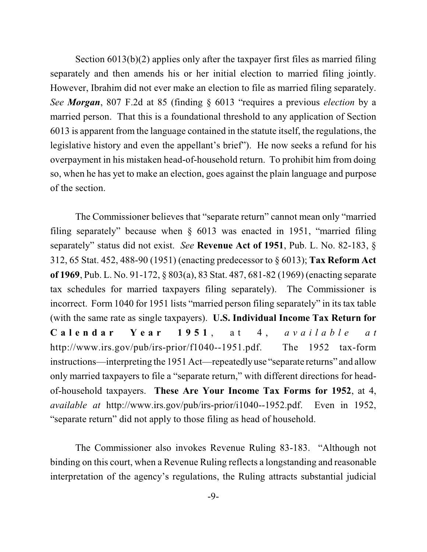Section 6013(b)(2) applies only after the taxpayer first files as married filing separately and then amends his or her initial election to married filing jointly. However, Ibrahim did not ever make an election to file as married filing separately. *See Morgan*, 807 F.2d at 85 (finding § 6013 "requires a previous *election* by a married person. That this is a foundational threshold to any application of Section 6013 is apparent from the language contained in the statute itself, the regulations, the legislative history and even the appellant's brief"). He now seeks a refund for his overpayment in his mistaken head-of-household return. To prohibit him from doing so, when he has yet to make an election, goes against the plain language and purpose of the section.

The Commissioner believes that "separate return" cannot mean only "married filing separately" because when § 6013 was enacted in 1951, "married filing separately" status did not exist. *See* **Revenue Act of 1951**, Pub. L. No. 82-183, § 312, 65 Stat. 452, 488-90 (1951) (enacting predecessor to § 6013); **Tax Reform Act of 1969**, Pub. L. No. 91-172, § 803(a), 83 Stat. 487, 681-82 (1969) (enacting separate tax schedules for married taxpayers filing separately). The Commissioner is incorrect. Form 1040 for 1951 lists "married person filing separately" in its tax table (with the same rate as single taxpayers). **U.S. Individual Income Tax Return for** Calendar Year 1951, at 4, available at http://www.irs.gov/pub/irs-prior/f1040--1951.pdf. The 1952 tax-form instructions—interpreting the 1951 Act—repeatedlyuse "separate returns" and allow only married taxpayers to file a "separate return," with different directions for headof-household taxpayers. **These Are Your Income Tax Forms for 1952**, at 4, *available at* http://www.irs.gov/pub/irs-prior/i1040--1952.pdf. Even in 1952, "separate return" did not apply to those filing as head of household.

The Commissioner also invokes Revenue Ruling 83-183. "Although not binding on this court, when a Revenue Ruling reflects a longstanding and reasonable interpretation of the agency's regulations, the Ruling attracts substantial judicial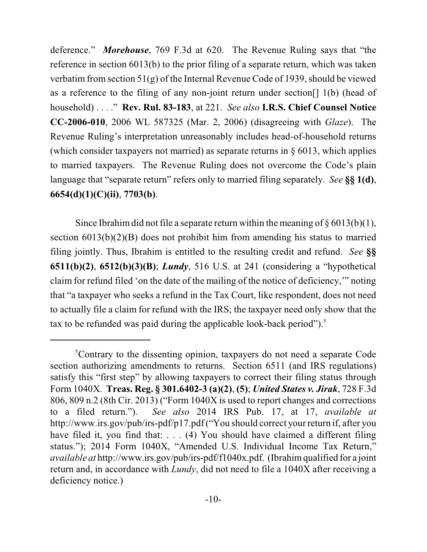deference." *Morehouse*, 769 F.3d at 620. The Revenue Ruling says that "the reference in section 6013(b) to the prior filing of a separate return, which was taken verbatim from section 51(g) of the Internal Revenue Code of 1939, should be viewed as a reference to the filing of any non-joint return under section[] 1(b) (head of household) . . . ." **Rev. Rul. 83-183**, at 221. *See also* **I.R.S. Chief Counsel Notice CC-2006-010**, 2006 WL 587325 (Mar. 2, 2006) (disagreeing with *Glaze*). The Revenue Ruling's interpretation unreasonably includes head-of-household returns (which consider taxpayers not married) as separate returns in § 6013, which applies to married taxpayers. The Revenue Ruling does not overcome the Code's plain language that "separate return" refers only to married filing separately. *See* **§§ 1(d)**, **6654(d)(1)(C)(ii)**, **7703(b)**.

Since Ibrahim did not file a separate return within the meaning of  $\S 6013(b)(1)$ , section 6013(b)(2)(B) does not prohibit him from amending his status to married filing jointly. Thus, Ibrahim is entitled to the resulting credit and refund. *See* **§§ 6511(b)(2)**, **6512(b)(3)(B)**; *Lundy*, 516 U.S. at 241 (considering a "hypothetical claim for refund filed 'on the date of the mailing of the notice of deficiency,'" noting that "a taxpayer who seeks a refund in the Tax Court, like respondent, does not need to actually file a claim for refund with the IRS; the taxpayer need only show that the tax to be refunded was paid during the applicable look-back period").<sup>5</sup>

<sup>&</sup>lt;sup>5</sup>Contrary to the dissenting opinion, taxpayers do not need a separate Code section authorizing amendments to returns. Section 6511 (and IRS regulations) satisfy this "first step" by allowing taxpayers to correct their filing status through Form 1040X. **Treas. Reg. § 301.6402-3 (a)(2)**, **(5)**; *United States v. Jirak*, 728 F.3d 806, 809 n.2 (8th Cir. 2013) ("Form 1040X is used to report changes and corrections to a filed return."). *See also* 2014 IRS Pub. 17, at 17, *available at* http://www.irs.gov/pub/irs-pdf/p17.pdf ("You should correct your return if, after you have filed it, you find that: . . . (4) You should have claimed a different filing status."); 2014 Form 1040X, "Amended U.S. Individual Income Tax Return," *available at* http://www.irs.gov/pub/irs-pdf/f1040x.pdf. (Ibrahimqualified for a joint return and, in accordance with *Lundy*, did not need to file a 1040X after receiving a deficiency notice.)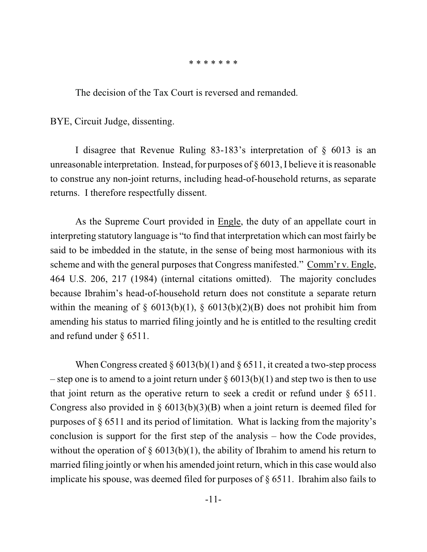#### \* \* \* \* \* \* \*

The decision of the Tax Court is reversed and remanded.

BYE, Circuit Judge, dissenting.

I disagree that Revenue Ruling 83-183's interpretation of § 6013 is an unreasonable interpretation. Instead, for purposes of  $\S 6013$ , I believe it is reasonable to construe any non-joint returns, including head-of-household returns, as separate returns. I therefore respectfully dissent.

As the Supreme Court provided in Engle, the duty of an appellate court in interpreting statutory language is "to find that interpretation which can most fairly be said to be imbedded in the statute, in the sense of being most harmonious with its scheme and with the general purposes that Congress manifested." Comm'r v. Engle, 464 U.S. 206, 217 (1984) (internal citations omitted). The majority concludes because Ibrahim's head-of-household return does not constitute a separate return within the meaning of  $\S$  6013(b)(1),  $\S$  6013(b)(2)(B) does not prohibit him from amending his status to married filing jointly and he is entitled to the resulting credit and refund under § 6511.

When Congress created  $\S 6013(b)(1)$  and  $\S 6511$ , it created a two-step process – step one is to amend to a joint return under  $\S 6013(b)(1)$  and step two is then to use that joint return as the operative return to seek a credit or refund under § 6511. Congress also provided in  $\S$  6013(b)(3)(B) when a joint return is deemed filed for purposes of § 6511 and its period of limitation. What is lacking from the majority's conclusion is support for the first step of the analysis – how the Code provides, without the operation of  $\S$  6013(b)(1), the ability of Ibrahim to amend his return to married filing jointly or when his amended joint return, which in this case would also implicate his spouse, was deemed filed for purposes of § 6511. Ibrahim also fails to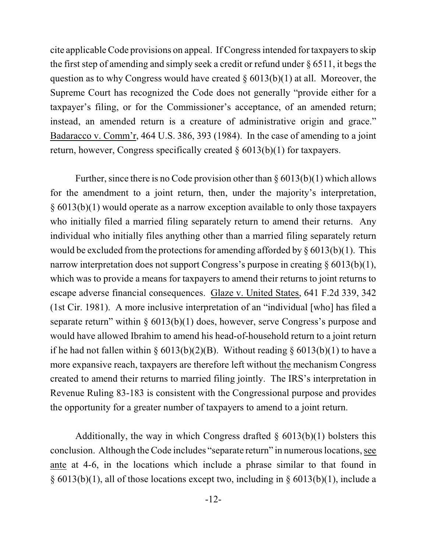cite applicable Code provisions on appeal. If Congress intended for taxpayers to skip the first step of amending and simply seek a credit or refund under  $\S 6511$ , it begs the question as to why Congress would have created  $\S 6013(b)(1)$  at all. Moreover, the Supreme Court has recognized the Code does not generally "provide either for a taxpayer's filing, or for the Commissioner's acceptance, of an amended return; instead, an amended return is a creature of administrative origin and grace." Badaracco v. Comm'r, 464 U.S. 386, 393 (1984). In the case of amending to a joint return, however, Congress specifically created  $\S 6013(b)(1)$  for taxpayers.

Further, since there is no Code provision other than  $\S 6013(b)(1)$  which allows for the amendment to a joint return, then, under the majority's interpretation, § 6013(b)(1) would operate as a narrow exception available to only those taxpayers who initially filed a married filing separately return to amend their returns. Any individual who initially files anything other than a married filing separately return would be excluded from the protections for amending afforded by  $\S 6013(b)(1)$ . This narrow interpretation does not support Congress's purpose in creating  $\S 6013(b)(1)$ , which was to provide a means for taxpayers to amend their returns to joint returns to escape adverse financial consequences. Glaze v. United States, 641 F.2d 339, 342 (1st Cir. 1981). A more inclusive interpretation of an "individual [who] has filed a separate return" within § 6013(b)(1) does, however, serve Congress's purpose and would have allowed Ibrahim to amend his head-of-household return to a joint return if he had not fallen within §  $6013(b)(2)(B)$ . Without reading §  $6013(b)(1)$  to have a more expansive reach, taxpayers are therefore left without the mechanism Congress created to amend their returns to married filing jointly. The IRS's interpretation in Revenue Ruling 83-183 is consistent with the Congressional purpose and provides the opportunity for a greater number of taxpayers to amend to a joint return.

Additionally, the way in which Congress drafted  $\S$  6013(b)(1) bolsters this conclusion. Although the Code includes "separate return" in numerouslocations, see ante at 4-6, in the locations which include a phrase similar to that found in § 6013(b)(1), all of those locations except two, including in § 6013(b)(1), include a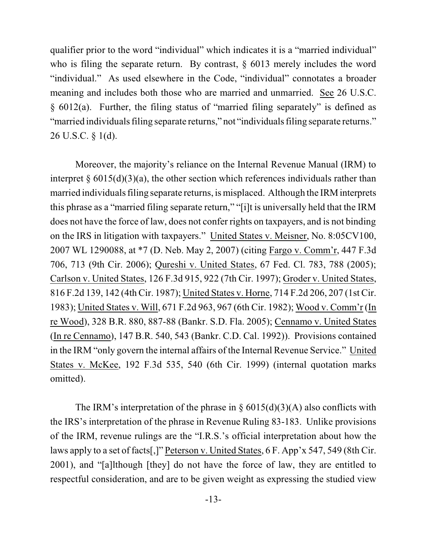qualifier prior to the word "individual" which indicates it is a "married individual" who is filing the separate return. By contrast, § 6013 merely includes the word "individual." As used elsewhere in the Code, "individual" connotates a broader meaning and includes both those who are married and unmarried. See 26 U.S.C. § 6012(a). Further, the filing status of "married filing separately" is defined as "married individuals filing separate returns," not "individuals filing separate returns." 26 U.S.C. § 1(d).

Moreover, the majority's reliance on the Internal Revenue Manual (IRM) to interpret  $\S 6015(d)(3)(a)$ , the other section which references individuals rather than married individuals filing separate returns, is misplaced. Although the IRM interprets this phrase as a "married filing separate return," "[i]t is universally held that the IRM does not have the force of law, does not confer rights on taxpayers, and is not binding on the IRS in litigation with taxpayers." United States v. Meisner, No. 8:05CV100, 2007 WL 1290088, at \*7 (D. Neb. May 2, 2007) (citing Fargo v. Comm'r, 447 F.3d 706, 713 (9th Cir. 2006); Qureshi v. United States, 67 Fed. Cl. 783, 788 (2005); Carlson v. United States, 126 F.3d 915, 922 (7th Cir. 1997); Groder v. United States, 816 F.2d 139, 142 (4th Cir. 1987); United States v. Horne, 714 F.2d 206, 207 (1st Cir. 1983); United States v. Will, 671 F.2d 963, 967 (6th Cir. 1982); Wood v. Comm'r (In re Wood), 328 B.R. 880, 887-88 (Bankr. S.D. Fla. 2005); Cennamo v. United States (In re Cennamo), 147 B.R. 540, 543 (Bankr. C.D. Cal. 1992)). Provisions contained in the IRM "only govern the internal affairs of the Internal Revenue Service." United States v. McKee, 192 F.3d 535, 540 (6th Cir. 1999) (internal quotation marks omitted).

The IRM's interpretation of the phrase in  $\S$  6015(d)(3)(A) also conflicts with the IRS's interpretation of the phrase in Revenue Ruling 83-183. Unlike provisions of the IRM, revenue rulings are the "I.R.S.'s official interpretation about how the laws apply to a set of facts[,]" Peterson v. United States, 6 F. App'x 547, 549 (8th Cir. 2001), and "[a]lthough [they] do not have the force of law, they are entitled to respectful consideration, and are to be given weight as expressing the studied view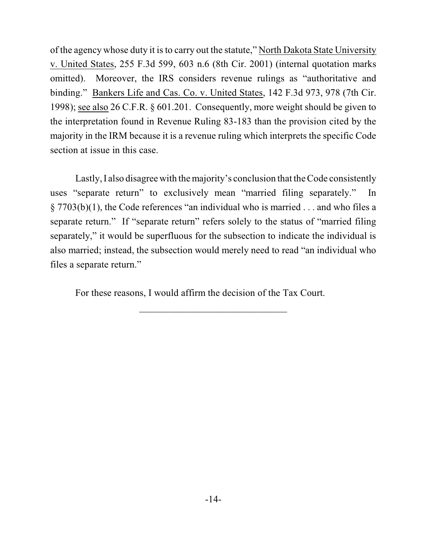of the agency whose duty it isto carry out the statute," North Dakota State University v. United States, 255 F.3d 599, 603 n.6 (8th Cir. 2001) (internal quotation marks omitted). Moreover, the IRS considers revenue rulings as "authoritative and binding." Bankers Life and Cas. Co. v. United States, 142 F.3d 973, 978 (7th Cir. 1998); see also 26 C.F.R. § 601.201. Consequently, more weight should be given to the interpretation found in Revenue Ruling 83-183 than the provision cited by the majority in the IRM because it is a revenue ruling which interprets the specific Code section at issue in this case.

Lastly, I also disagree with the majority's conclusion that the Code consistently uses "separate return" to exclusively mean "married filing separately." In § 7703(b)(1), the Code references "an individual who is married . . . and who files a separate return." If "separate return" refers solely to the status of "married filing separately," it would be superfluous for the subsection to indicate the individual is also married; instead, the subsection would merely need to read "an individual who files a separate return."

For these reasons, I would affirm the decision of the Tax Court.

 $\mathcal{L}_\mathcal{L}$  , where  $\mathcal{L}_\mathcal{L}$  is the set of the set of the set of the set of the set of the set of the set of the set of the set of the set of the set of the set of the set of the set of the set of the set of the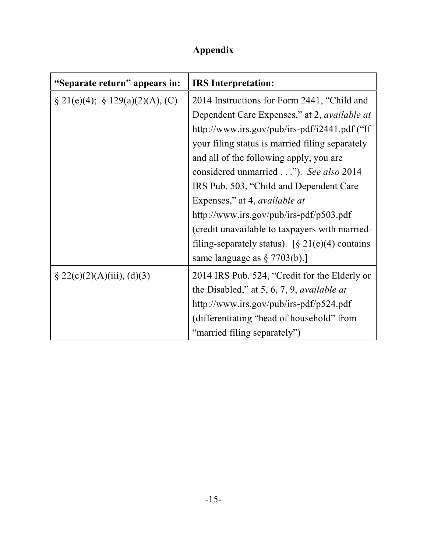# **Appendix**

| "Separate return" appears in:       | <b>IRS</b> Interpretation:                          |
|-------------------------------------|-----------------------------------------------------|
| $\S 21(e)(4); \S 129(a)(2)(A), (C)$ | 2014 Instructions for Form 2441, "Child and         |
|                                     | Dependent Care Expenses," at 2, <i>available at</i> |
|                                     | http://www.irs.gov/pub/irs-pdf/i2441.pdf ("If       |
|                                     | your filing status is married filing separately     |
|                                     | and all of the following apply, you are             |
|                                     | considered unmarried"). See also 2014               |
|                                     | IRS Pub. 503, "Child and Dependent Care"            |
|                                     | Expenses," at 4, <i>available at</i>                |
|                                     | http://www.irs.gov/pub/irs-pdf/p503.pdf             |
|                                     | (credit unavailable to taxpayers with married-      |
|                                     | filing-separately status). [§ $21(e)(4)$ contains   |
|                                     | same language as $\S 7703(b)$ .]                    |
| $\S 22(c)(2)(A)(iii), (d)(3)$       | 2014 IRS Pub. 524, "Credit for the Elderly or       |
|                                     | the Disabled," at 5, 6, 7, 9, <i>available at</i>   |
|                                     | http://www.irs.gov/pub/irs-pdf/p524.pdf             |
|                                     | (differentiating "head of household" from           |
|                                     | "married filing separately")                        |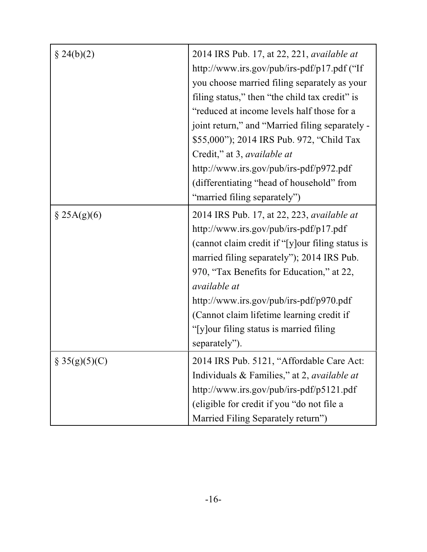| $\S 24(b)(2)$    | 2014 IRS Pub. 17, at 22, 221, <i>available at</i><br>http://www.irs.gov/pub/irs-pdf/p17.pdf ("If<br>you choose married filing separately as your<br>filing status," then "the child tax credit" is<br>"reduced at income levels half those for a<br>joint return," and "Married filing separately -<br>\$55,000"); 2014 IRS Pub. 972, "Child Tax<br>Credit," at 3, available at<br>http://www.irs.gov/pub/irs-pdf/p972.pdf<br>(differentiating "head of household" from<br>"married filing separately") |
|------------------|---------------------------------------------------------------------------------------------------------------------------------------------------------------------------------------------------------------------------------------------------------------------------------------------------------------------------------------------------------------------------------------------------------------------------------------------------------------------------------------------------------|
| $\S$ 25A(g)(6)   | 2014 IRS Pub. 17, at 22, 223, <i>available at</i><br>http://www.irs.gov/pub/irs-pdf/p17.pdf<br>(cannot claim credit if "[y] our filing status is<br>married filing separately"); 2014 IRS Pub.<br>970, "Tax Benefits for Education," at 22,<br><i>available at</i><br>http://www.irs.gov/pub/irs-pdf/p970.pdf<br>(Cannot claim lifetime learning credit if<br>"[y] our filing status is married filing"<br>separately").                                                                                |
| $\S 35(g)(5)(C)$ | 2014 IRS Pub. 5121, "Affordable Care Act:<br>Individuals & Families," at 2, available at<br>http://www.irs.gov/pub/irs-pdf/p5121.pdf<br>(eligible for credit if you "do not file a<br>Married Filing Separately return")                                                                                                                                                                                                                                                                                |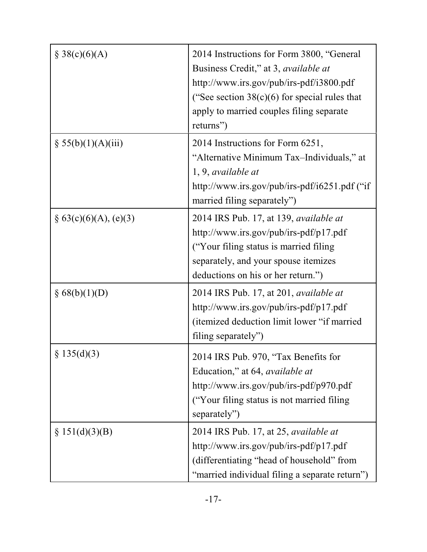| § 38(c)(6)(A)            | 2014 Instructions for Form 3800, "General<br>Business Credit," at 3, <i>available at</i><br>http://www.irs.gov/pub/irs-pdf/i3800.pdf<br>("See section $38(c)(6)$ for special rules that<br>apply to married couples filing separate<br>returns") |
|--------------------------|--------------------------------------------------------------------------------------------------------------------------------------------------------------------------------------------------------------------------------------------------|
| § 55(b)(1)(A)(iii)       | 2014 Instructions for Form 6251,<br>"Alternative Minimum Tax-Individuals," at<br>$1, 9$ , available at<br>http://www.irs.gov/pub/irs-pdf/i6251.pdf ("if<br>married filing separately")                                                           |
| $\S 63(c)(6)(A), (e)(3)$ | 2014 IRS Pub. 17, at 139, <i>available at</i><br>http://www.irs.gov/pub/irs-pdf/p17.pdf<br>"Your filing status is married filing"<br>separately, and your spouse itemizes<br>deductions on his or her return.")                                  |
| § 68(b)(1)(D)            | 2014 IRS Pub. 17, at 201, <i>available at</i><br>http://www.irs.gov/pub/irs-pdf/p17.pdf<br>(itemized deduction limit lower "if married<br>filing separately")                                                                                    |
| § 135(d)(3)              | 2014 IRS Pub. 970, "Tax Benefits for<br>Education," at 64, <i>available at</i><br>http://www.irs.gov/pub/irs-pdf/p970.pdf<br>("Your filing status is not married filing<br>separately")                                                          |
| $\S 151(d)(3)(B)$        | 2014 IRS Pub. 17, at $25$ , <i>available at</i><br>http://www.irs.gov/pub/irs-pdf/p17.pdf<br>(differentiating "head of household" from<br>"married individual filing a separate return")                                                         |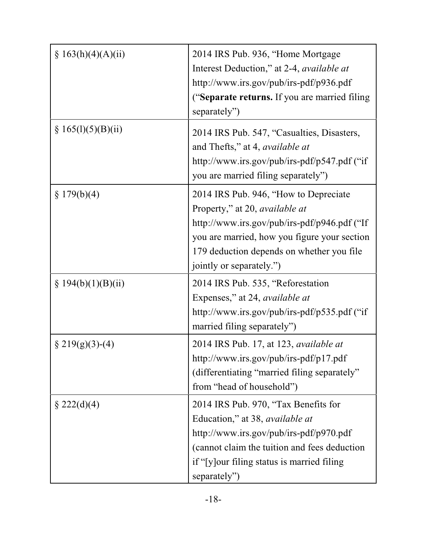| § 163(h)(4)(A)(ii)   | 2014 IRS Pub. 936, "Home Mortgage                |
|----------------------|--------------------------------------------------|
|                      | Interest Deduction," at 2-4, <i>available at</i> |
|                      | http://www.irs.gov/pub/irs-pdf/p936.pdf          |
|                      | ("Separate returns. If you are married filing    |
|                      | separately")                                     |
| § 165(l)(5)(B)(ii)   | 2014 IRS Pub. 547, "Casualties, Disasters,       |
|                      | and Thefts," at 4, <i>available at</i>           |
|                      | http://www.irs.gov/pub/irs-pdf/p547.pdf ("if     |
|                      | you are married filing separately")              |
| \$179(b)(4)          | 2014 IRS Pub. 946, "How to Depreciate            |
|                      | Property," at 20, <i>available at</i>            |
|                      | http://www.irs.gov/pub/irs-pdf/p946.pdf ("If     |
|                      | you are married, how you figure your section     |
|                      | 179 deduction depends on whether you file        |
|                      | jointly or separately.")                         |
| § $194(b)(1)(B)(ii)$ | 2014 IRS Pub. 535, "Reforestation                |
|                      | Expenses," at 24, <i>available at</i>            |
|                      | http://www.irs.gov/pub/irs-pdf/p535.pdf ("if     |
|                      | married filing separately")                      |
| $\S$ 219(g)(3)-(4)   | 2014 IRS Pub. 17, at 123, <i>available at</i>    |
|                      | http://www.irs.gov/pub/irs-pdf/p17.pdf           |
|                      | (differentiating "married filing separately"     |
|                      | from "head of household")                        |
| $\S 222(d)(4)$       | 2014 IRS Pub. 970, "Tax Benefits for             |
|                      | Education," at 38, available at                  |
|                      | http://www.irs.gov/pub/irs-pdf/p970.pdf          |
|                      | (cannot claim the tuition and fees deduction)    |
|                      | if "[y] our filing status is married filing      |
|                      | separately")                                     |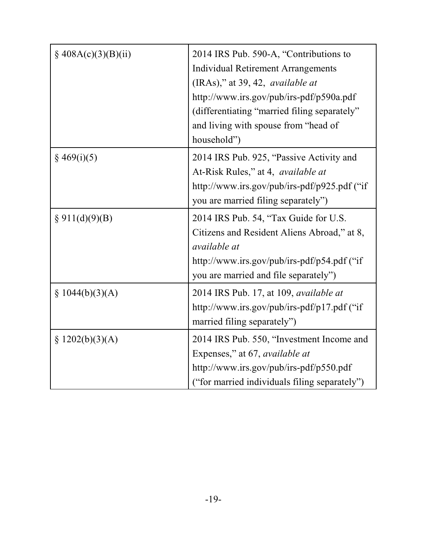| $\S$ 408A(c)(3)(B)(ii) | 2014 IRS Pub. 590-A, "Contributions to        |
|------------------------|-----------------------------------------------|
|                        | <b>Individual Retirement Arrangements</b>     |
|                        | (IRAs)," at 39, 42, <i>available at</i>       |
|                        | http://www.irs.gov/pub/irs-pdf/p590a.pdf      |
|                        | (differentiating "married filing separately"  |
|                        | and living with spouse from "head of          |
|                        | household")                                   |
| $§$ 469(i)(5)          | 2014 IRS Pub. 925, "Passive Activity and      |
|                        | At-Risk Rules," at 4, <i>available at</i>     |
|                        | http://www.irs.gov/pub/irs-pdf/p925.pdf ("if  |
|                        | you are married filing separately")           |
| § 911(d)(9)(B)         | 2014 IRS Pub. 54, "Tax Guide for U.S.         |
|                        | Citizens and Resident Aliens Abroad," at 8,   |
|                        | <i>available at</i>                           |
|                        | http://www.irs.gov/pub/irs-pdf/p54.pdf ("if   |
|                        | you are married and file separately")         |
| § $1044(b)(3)(A)$      | 2014 IRS Pub. 17, at 109, <i>available at</i> |
|                        | http://www.irs.gov/pub/irs-pdf/p17.pdf ("if   |
|                        | married filing separately")                   |
| \$1202(b)(3)(A)        | 2014 IRS Pub. 550, "Investment Income and     |
|                        | Expenses," at 67, <i>available at</i>         |
|                        | http://www.irs.gov/pub/irs-pdf/p550.pdf       |
|                        | ("for married individuals filing separately") |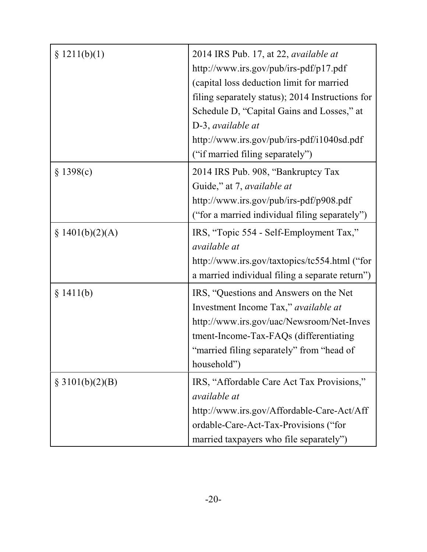| \$1211(b)(1)      | 2014 IRS Pub. 17, at 22, available at<br>http://www.irs.gov/pub/irs-pdf/p17.pdf<br>(capital loss deduction limit for married<br>filing separately status); 2014 Instructions for<br>Schedule D, "Capital Gains and Losses," at<br>D-3, available at<br>http://www.irs.gov/pub/irs-pdf/i1040sd.pdf<br>("if married filing separately") |
|-------------------|---------------------------------------------------------------------------------------------------------------------------------------------------------------------------------------------------------------------------------------------------------------------------------------------------------------------------------------|
| § 1398(c)         | 2014 IRS Pub. 908, "Bankruptcy Tax<br>Guide," at 7, available at<br>http://www.irs.gov/pub/irs-pdf/p908.pdf<br>("for a married individual filing separately")                                                                                                                                                                         |
| § $1401(b)(2)(A)$ | IRS, "Topic 554 - Self-Employment Tax,"<br>available at<br>http://www.irs.gov/taxtopics/tc554.html ("for<br>a married individual filing a separate return")                                                                                                                                                                           |
| § 1411(b)         | IRS, "Questions and Answers on the Net<br>Investment Income Tax," available at<br>http://www.irs.gov/uac/Newsroom/Net-Inves<br>tment-Income-Tax-FAQs (differentiating<br>"married filing separately" from "head of<br>household")                                                                                                     |
| § 3101(b)(2)(B)   | IRS, "Affordable Care Act Tax Provisions,"<br><i>available at</i><br>http://www.irs.gov/Affordable-Care-Act/Aff<br>ordable-Care-Act-Tax-Provisions ("for<br>married taxpayers who file separately")                                                                                                                                   |